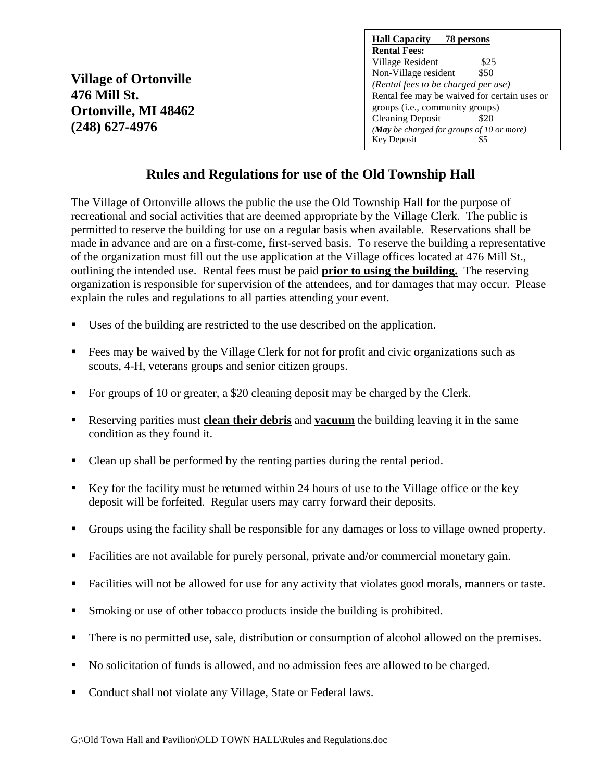**Village of Ortonville 476 Mill St. Ortonville, MI 48462 (248) 627-4976**

| <b>Hall Capacity</b> 78 persons              |
|----------------------------------------------|
| <b>Rental Fees:</b>                          |
| Village Resident<br>\$25                     |
| Non-Village resident<br>\$50                 |
| (Rental fees to be charged per use)          |
| Rental fee may be waived for certain uses or |
| groups ( <i>i.e.</i> , community groups)     |
| <b>Cleaning Deposit</b><br>\$20              |
| (May be charged for groups of 10 or more)    |
| <b>Key Deposit</b>                           |

## **Rules and Regulations for use of the Old Township Hall**

The Village of Ortonville allows the public the use the Old Township Hall for the purpose of recreational and social activities that are deemed appropriate by the Village Clerk. The public is permitted to reserve the building for use on a regular basis when available. Reservations shall be made in advance and are on a first-come, first-served basis. To reserve the building a representative of the organization must fill out the use application at the Village offices located at 476 Mill St., outlining the intended use. Rental fees must be paid **prior to using the building.** The reserving organization is responsible for supervision of the attendees, and for damages that may occur. Please explain the rules and regulations to all parties attending your event.

- Uses of the building are restricted to the use described on the application.
- Fees may be waived by the Village Clerk for not for profit and civic organizations such as scouts, 4-H, veterans groups and senior citizen groups.
- For groups of 10 or greater, a \$20 cleaning deposit may be charged by the Clerk.
- Reserving parities must **clean their debris** and **vacuum** the building leaving it in the same condition as they found it.
- Clean up shall be performed by the renting parties during the rental period.
- Key for the facility must be returned within 24 hours of use to the Village office or the key deposit will be forfeited. Regular users may carry forward their deposits.
- Groups using the facility shall be responsible for any damages or loss to village owned property.
- Facilities are not available for purely personal, private and/or commercial monetary gain.
- Facilities will not be allowed for use for any activity that violates good morals, manners or taste.
- Smoking or use of other tobacco products inside the building is prohibited.
- There is no permitted use, sale, distribution or consumption of alcohol allowed on the premises.
- No solicitation of funds is allowed, and no admission fees are allowed to be charged.
- Conduct shall not violate any Village, State or Federal laws.